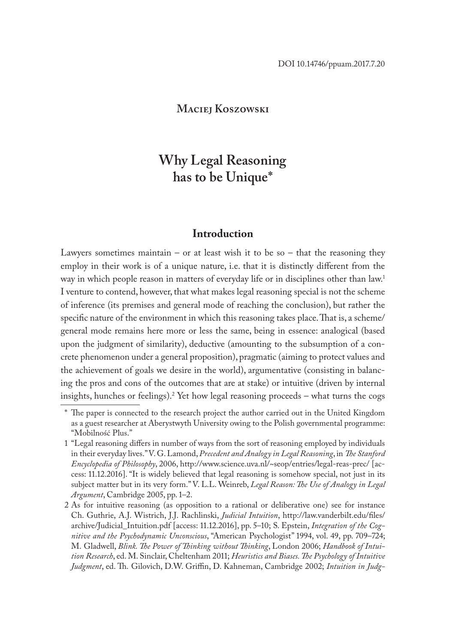### **Maciej Koszowski**

# **Why Legal Reasoning has to be Unique\***

### **Introduction**

Lawyers sometimes maintain – or at least wish it to be so – that the reasoning they employ in their work is of a unique nature, i.e. that it is distinctly different from the way in which people reason in matters of everyday life or in disciplines other than law.1 I venture to contend, however, that what makes legal reasoning special is not the scheme of inference (its premises and general mode of reaching the conclusion), but rather the specific nature of the environment in which this reasoning takes place. That is, a scheme/ general mode remains here more or less the same, being in essence: analogical (based upon the judgment of similarity), deductive (amounting to the subsumption of a concrete phenomenon under a general proposition), pragmatic (aiming to protect values and the achievement of goals we desire in the world), argumentative (consisting in balancing the pros and cons of the outcomes that are at stake) or intuitive (driven by internal insights, hunches or feelings).2 Yet how legal reasoning proceeds – what turns the cogs

<sup>\*</sup> The paper is connected to the research project the author carried out in the United Kingdom as a guest researcher at Aberystwyth University owing to the Polish governmental programme: "Mobilność Plus."

<sup>1</sup> "Legal reasoning differs in number of ways from the sort of reasoning employed by individuals in their everyday lives." V. G. Lamond, *Precedent and Analogy in Legal Reasoning*, in *The Stanford Encyclopedia of Philosophy*, 2006, http://www.science.uva.nl/~seop/entries/legal-reas-prec/ [access: 11.12.2016]. "It is widely believed that legal reasoning is somehow special, not just in its subject matter but in its very form." V. L.L. Weinreb, *Legal Reason: The Use of Analogy in Legal Argument*, Cambridge 2005, pp. 1–2.

<sup>2</sup> As for intuitive reasoning (as opposition to a rational or deliberative one) see for instance Ch. Guthrie, A.J. Wistrich, J.J. Rachlinski, *Judicial Intuition*, http://law.vanderbilt.edu/files/ archive/Judicial\_Intuition.pdf [access: 11.12.2016], pp. 5–10; S. Epstein, *Integration of the Cognitive and the Psychodynamic Unconscious*, "American Psychologist" 1994, vol. 49, pp. 709–724; M. Gladwell, *Blink. The Power of Thinking without Thinking*, London 2006; *Handbook of Intuition Research*, ed. M. Sinclair, Cheltenham 2011; *Heuristics and Biases. The Psychology of Intuitive Judgment*, ed. Th. Gilovich, D.W. Griffin, D. Kahneman, Cambridge 2002; *Intuition in Judg-*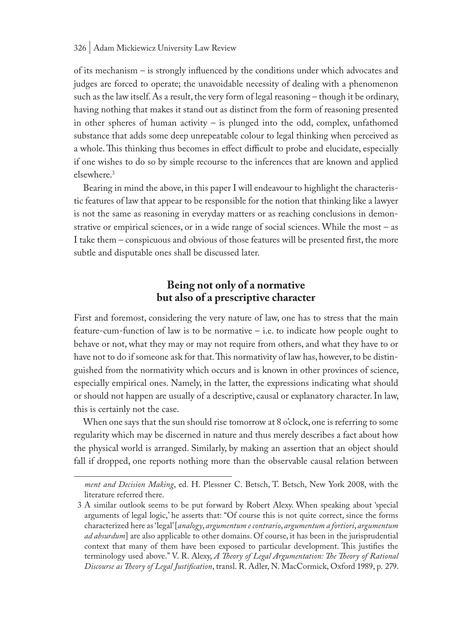of its mechanism – is strongly influenced by the conditions under which advocates and judges are forced to operate; the unavoidable necessity of dealing with a phenomenon such as the law itself. As a result, the very form of legal reasoning – though it be ordinary, having nothing that makes it stand out as distinct from the form of reasoning presented in other spheres of human activity – is plunged into the odd, complex, unfathomed substance that adds some deep unrepeatable colour to legal thinking when perceived as a whole. This thinking thus becomes in effect difficult to probe and elucidate, especially if one wishes to do so by simple recourse to the inferences that are known and applied elsewhere.3

Bearing in mind the above, in this paper I will endeavour to highlight the characteristic features of law that appear to be responsible for the notion that thinking like a lawyer is not the same as reasoning in everyday matters or as reaching conclusions in demonstrative or empirical sciences, or in a wide range of social sciences. While the most – as I take them – conspicuous and obvious of those features will be presented first, the more subtle and disputable ones shall be discussed later.

### **Being not only of a normative but also of a prescriptive character**

First and foremost, considering the very nature of law, one has to stress that the main feature-cum-function of law is to be normative – i.e. to indicate how people ought to behave or not, what they may or may not require from others, and what they have to or have not to do if someone ask for that. This normativity of law has, however, to be distinguished from the normativity which occurs and is known in other provinces of science, especially empirical ones. Namely, in the latter, the expressions indicating what should or should not happen are usually of a descriptive, causal or explanatory character. In law, this is certainly not the case.

When one says that the sun should rise tomorrow at 8 o'clock, one is referring to some regularity which may be discerned in nature and thus merely describes a fact about how the physical world is arranged. Similarly, by making an assertion that an object should fall if dropped, one reports nothing more than the observable causal relation between

*ment and Decision Making*, ed. H. Plessner C. Betsch, T. Betsch, New York 2008, with the literature referred there.

<sup>3</sup> A similar outlook seems to be put forward by Robert Alexy. When speaking about 'special arguments of legal logic,' he asserts that: "Of course this is not quite correct, since the forms characterized here as 'legal' [*analogy*, *argumentum e contrario*, *argumentum a fortiori*, *argumentum ad absurdum*] are also applicable to other domains. Of course, it has been in the jurisprudential context that many of them have been exposed to particular development. This justifies the terminology used above." V. R. Alexy, *A Theory of Legal Argumentation: The Theory of Rational Discourse as Theory of Legal Justification*, transl. R. Adler, N. MacCormick, Oxford 1989, p. 279.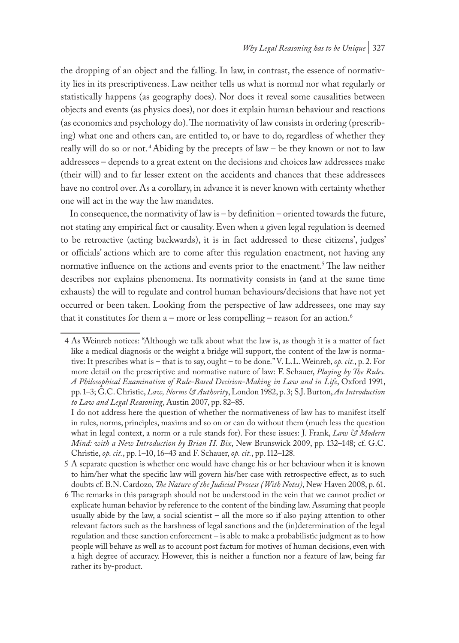the dropping of an object and the falling. In law, in contrast, the essence of normativity lies in its prescriptiveness. Law neither tells us what is normal nor what regularly or statistically happens (as geography does). Nor does it reveal some causalities between objects and events (as physics does), nor does it explain human behaviour and reactions (as economics and psychology do). The normativity of law consists in ordering (prescribing) what one and others can, are entitled to, or have to do, regardless of whether they really will do so or not.<sup>4</sup> Abiding by the precepts of law – be they known or not to law addressees – depends to a great extent on the decisions and choices law addressees make (their will) and to far lesser extent on the accidents and chances that these addressees have no control over. As a corollary, in advance it is never known with certainty whether one will act in the way the law mandates.

In consequence, the normativity of law is – by definition – oriented towards the future, not stating any empirical fact or causality. Even when a given legal regulation is deemed to be retroactive (acting backwards), it is in fact addressed to these citizens', judges' or officials' actions which are to come after this regulation enactment, not having any normative influence on the actions and events prior to the enactment.<sup>5</sup> The law neither describes nor explains phenomena. Its normativity consists in (and at the same time exhausts) the will to regulate and control human behaviours/decisions that have not yet occurred or been taken. Looking from the perspective of law addressees, one may say that it constitutes for them  $a$  – more or less compelling – reason for an action.<sup>6</sup>

<sup>4</sup> As Weinreb notices: "Although we talk about what the law is, as though it is a matter of fact like a medical diagnosis or the weight a bridge will support, the content of the law is normative: It prescribes what is – that is to say, ought – to be done." V. L.L. Weinreb, *op. cit.*, p. 2. For more detail on the prescriptive and normative nature of law: F. Schauer, *Playing by The Rules. A Philosophical Examination of Rule-Based Decision-Making in Law and in Life*, Oxford 1991, pp. 1–3; G.C. Christie, *Law, Norms & Authority*, London 1982, p. 3; S.J. Burton, *An Introduction to Law and Legal Reasoning*, Austin 2007, pp. 82–85.

I do not address here the question of whether the normativeness of law has to manifest itself in rules, norms, principles, maxims and so on or can do without them (much less the question what in legal context, a norm or a rule stands for). For these issues: J. Frank, *Law & Modern Mind: with a New Introduction by Brian H. Bix*, New Brunswick 2009, pp. 132–148; cf. G.C. Christie, *op. cit.*, pp. 1–10, 16–43 and F. Schauer, *op. cit.*, pp. 112–128.

<sup>5</sup> A separate question is whether one would have change his or her behaviour when it is known to him/her what the specific law will govern his/her case with retrospective effect, as to such doubts cf. B.N. Cardozo, *The Nature of the Judicial Process (With Notes)*, New Haven 2008, p. 61.

<sup>6</sup> The remarks in this paragraph should not be understood in the vein that we cannot predict or explicate human behavior by reference to the content of the binding law. Assuming that people usually abide by the law, a social scientist – all the more so if also paying attention to other relevant factors such as the harshness of legal sanctions and the (in)determination of the legal regulation and these sanction enforcement – is able to make a probabilistic judgment as to how people will behave as well as to account post factum for motives of human decisions, even with a high degree of accuracy. However, this is neither a function nor a feature of law, being far rather its by-product.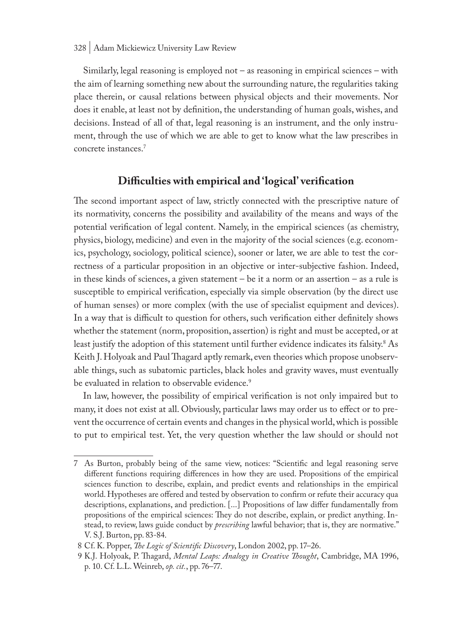Similarly, legal reasoning is employed not – as reasoning in empirical sciences – with the aim of learning something new about the surrounding nature, the regularities taking place therein, or causal relations between physical objects and their movements. Nor does it enable, at least not by definition, the understanding of human goals, wishes, and decisions. Instead of all of that, legal reasoning is an instrument, and the only instrument, through the use of which we are able to get to know what the law prescribes in concrete instances.7

# **Difficulties with empirical and 'logical' verification**

The second important aspect of law, strictly connected with the prescriptive nature of its normativity, concerns the possibility and availability of the means and ways of the potential verification of legal content. Namely, in the empirical sciences (as chemistry, physics, biology, medicine) and even in the majority of the social sciences (e.g. economics, psychology, sociology, political science), sooner or later, we are able to test the correctness of a particular proposition in an objective or inter-subjective fashion. Indeed, in these kinds of sciences, a given statement – be it a norm or an assertion – as a rule is susceptible to empirical verification, especially via simple observation (by the direct use of human senses) or more complex (with the use of specialist equipment and devices). In a way that is difficult to question for others, such verification either definitely shows whether the statement (norm, proposition, assertion) is right and must be accepted, or at least justify the adoption of this statement until further evidence indicates its falsity.<sup>8</sup> As Keith J. Holyoak and Paul Thagard aptly remark, even theories which propose unobservable things, such as subatomic particles, black holes and gravity waves, must eventually be evaluated in relation to observable evidence.<sup>9</sup>

In law, however, the possibility of empirical verification is not only impaired but to many, it does not exist at all. Obviously, particular laws may order us to effect or to prevent the occurrence of certain events and changes in the physical world, which is possible to put to empirical test. Yet, the very question whether the law should or should not

<sup>7</sup> As Burton, probably being of the same view, notices: "Scientific and legal reasoning serve different functions requiring differences in how they are used. Propositions of the empirical sciences function to describe, explain, and predict events and relationships in the empirical world. Hypotheses are offered and tested by observation to confirm or refute their accuracy qua descriptions, explanations, and prediction. [...] Propositions of law differ fundamentally from propositions of the empirical sciences: They do not describe, explain, or predict anything. Instead, to review, laws guide conduct by *prescribing* lawful behavior; that is, they are normative." V. S.J. Burton, pp. 83-84.

<sup>8</sup> Cf. K. Popper, *The Logic of Scientific Discovery*, London 2002, pp. 17–26.

<sup>9</sup> K.J. Holyoak, P. Thagard, *Mental Leaps: Analogy in Creative Thought*, Cambridge, MA 1996, p. 10. Cf. L.L. Weinreb, *op. cit.*, pp. 76–77.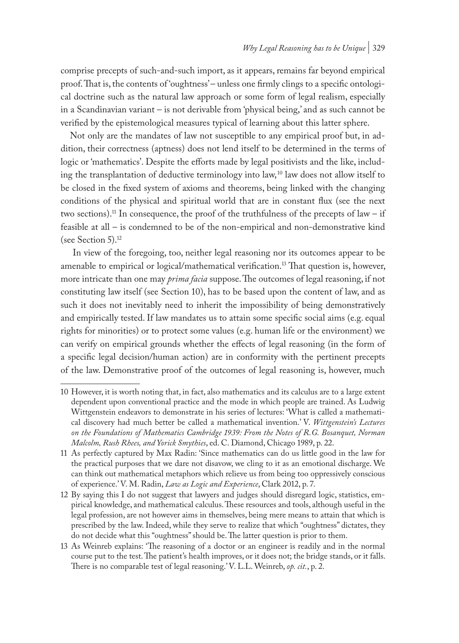comprise precepts of such-and-such import, as it appears, remains far beyond empirical proof. That is, the contents of 'oughtness' – unless one firmly clings to a specific ontological doctrine such as the natural law approach or some form of legal realism, especially in a Scandinavian variant – is not derivable from 'physical being,' and as such cannot be verified by the epistemological measures typical of learning about this latter sphere.

Not only are the mandates of law not susceptible to any empirical proof but, in addition, their correctness (aptness) does not lend itself to be determined in the terms of logic or 'mathematics'. Despite the efforts made by legal positivists and the like, including the transplantation of deductive terminology into law, 10 law does not allow itself to be closed in the fixed system of axioms and theorems, being linked with the changing conditions of the physical and spiritual world that are in constant flux (see the next two sections).<sup>11</sup> In consequence, the proof of the truthfulness of the precepts of law – if feasible at all – is condemned to be of the non-empirical and non-demonstrative kind (see Section 5).<sup>12</sup>

 In view of the foregoing, too, neither legal reasoning nor its outcomes appear to be amenable to empirical or logical/mathematical verification.13 That question is, however, more intricate than one may *prima facia* suppose. The outcomes of legal reasoning, if not constituting law itself (see Section 10), has to be based upon the content of law, and as such it does not inevitably need to inherit the impossibility of being demonstratively and empirically tested. If law mandates us to attain some specific social aims (e.g. equal rights for minorities) or to protect some values (e.g. human life or the environment) we can verify on empirical grounds whether the effects of legal reasoning (in the form of a specific legal decision/human action) are in conformity with the pertinent precepts of the law. Demonstrative proof of the outcomes of legal reasoning is, however, much

<sup>10</sup> However, it is worth noting that, in fact, also mathematics and its calculus are to a large extent dependent upon conventional practice and the mode in which people are trained. As Ludwig Wittgenstein endeavors to demonstrate in his series of lectures: 'What is called a mathematical discovery had much better be called a mathematical invention.' V. *Wittgenstein's Lectures on the Foundations of Mathematics Cambridge 1939: From the Notes of R.G. Bosanquet, Norman Malcolm, Rush Rhees, and Yorick Smythies*, ed. C. Diamond, Chicago 1989, p. 22.

<sup>11</sup> As perfectly captured by Max Radin: 'Since mathematics can do us little good in the law for the practical purposes that we dare not disavow, we cling to it as an emotional discharge. We can think out mathematical metaphors which relieve us from being too oppressively conscious of experience.' V. M. Radin, *Law as Logic and Experience*, Clark 2012, p. 7.

<sup>12</sup> By saying this I do not suggest that lawyers and judges should disregard logic, statistics, empirical knowledge, and mathematical calculus. These resources and tools, although useful in the legal profession, are not however aims in themselves, being mere means to attain that which is prescribed by the law. Indeed, while they serve to realize that which "oughtness" dictates, they do not decide what this "oughtness" should be. The latter question is prior to them.

<sup>13</sup> As Weinreb explains: 'The reasoning of a doctor or an engineer is readily and in the normal course put to the test. The patient's health improves, or it does not; the bridge stands, or it falls. There is no comparable test of legal reasoning.' V. L.L. Weinreb, *op. cit.*, p. 2.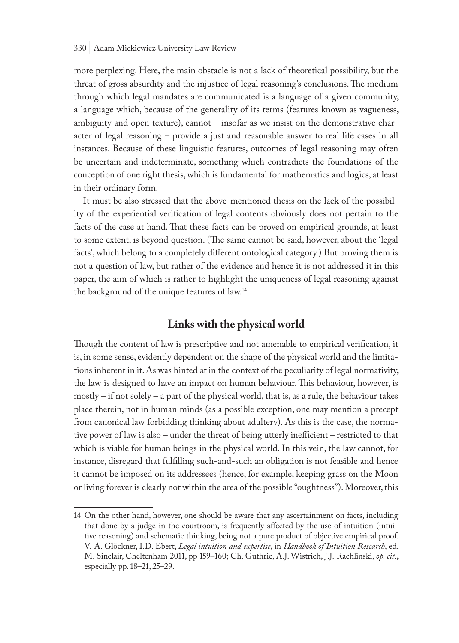more perplexing. Here, the main obstacle is not a lack of theoretical possibility, but the threat of gross absurdity and the injustice of legal reasoning's conclusions. The medium through which legal mandates are communicated is a language of a given community, a language which, because of the generality of its terms (features known as vagueness, ambiguity and open texture), cannot – insofar as we insist on the demonstrative character of legal reasoning – provide a just and reasonable answer to real life cases in all instances. Because of these linguistic features, outcomes of legal reasoning may often be uncertain and indeterminate, something which contradicts the foundations of the conception of one right thesis, which is fundamental for mathematics and logics, at least in their ordinary form.

It must be also stressed that the above-mentioned thesis on the lack of the possibility of the experiential verification of legal contents obviously does not pertain to the facts of the case at hand. That these facts can be proved on empirical grounds, at least to some extent, is beyond question. (The same cannot be said, however, about the 'legal facts', which belong to a completely different ontological category.) But proving them is not a question of law, but rather of the evidence and hence it is not addressed it in this paper, the aim of which is rather to highlight the uniqueness of legal reasoning against the background of the unique features of law.14

### **Links with the physical world**

Though the content of law is prescriptive and not amenable to empirical verification, it is, in some sense, evidently dependent on the shape of the physical world and the limitations inherent in it. As was hinted at in the context of the peculiarity of legal normativity, the law is designed to have an impact on human behaviour. This behaviour, however, is mostly – if not solely – a part of the physical world, that is, as a rule, the behaviour takes place therein, not in human minds (as a possible exception, one may mention a precept from canonical law forbidding thinking about adultery). As this is the case, the normative power of law is also – under the threat of being utterly inefficient – restricted to that which is viable for human beings in the physical world. In this vein, the law cannot, for instance, disregard that fulfilling such-and-such an obligation is not feasible and hence it cannot be imposed on its addressees (hence, for example, keeping grass on the Moon or living forever is clearly not within the area of the possible "oughtness"). Moreover, this

<sup>14</sup> On the other hand, however, one should be aware that any ascertainment on facts, including that done by a judge in the courtroom, is frequently affected by the use of intuition (intuitive reasoning) and schematic thinking, being not a pure product of objective empirical proof. V. A. Glöckner, I.D. Ebert, *Legal intuition and expertise*, in *Handbook of Intuition Research*, ed. M. Sinclair, Cheltenham 2011, pp 159–160; Ch. Guthrie, A.J. Wistrich, J.J. Rachlinski, *op. cit.*, especially pp. 18–21, 25–29.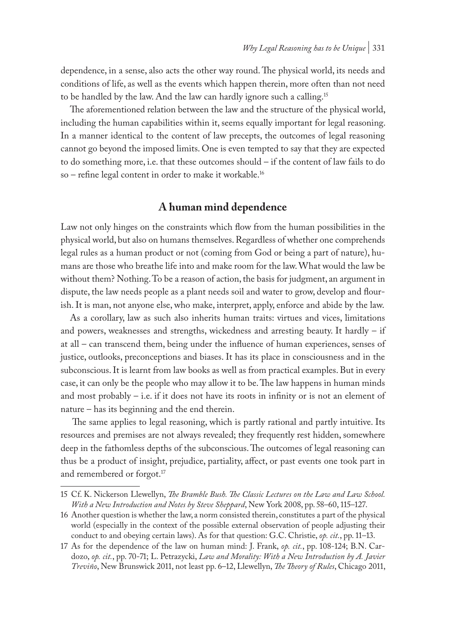dependence, in a sense, also acts the other way round. The physical world, its needs and conditions of life, as well as the events which happen therein, more often than not need to be handled by the law. And the law can hardly ignore such a calling.15

The aforementioned relation between the law and the structure of the physical world, including the human capabilities within it, seems equally important for legal reasoning. In a manner identical to the content of law precepts, the outcomes of legal reasoning cannot go beyond the imposed limits. One is even tempted to say that they are expected to do something more, i.e. that these outcomes should – if the content of law fails to do so – refine legal content in order to make it workable.16

### **A human mind dependence**

Law not only hinges on the constraints which flow from the human possibilities in the physical world, but also on humans themselves. Regardless of whether one comprehends legal rules as a human product or not (coming from God or being a part of nature), humans are those who breathe life into and make room for the law. What would the law be without them? Nothing. To be a reason of action, the basis for judgment, an argument in dispute, the law needs people as a plant needs soil and water to grow, develop and flourish. It is man, not anyone else, who make, interpret, apply, enforce and abide by the law.

As a corollary, law as such also inherits human traits: virtues and vices, limitations and powers, weaknesses and strengths, wickedness and arresting beauty. It hardly – if at all – can transcend them, being under the influence of human experiences, senses of justice, outlooks, preconceptions and biases. It has its place in consciousness and in the subconscious. It is learnt from law books as well as from practical examples. But in every case, it can only be the people who may allow it to be. The law happens in human minds and most probably  $-$  i.e. if it does not have its roots in infinity or is not an element of nature – has its beginning and the end therein.

 The same applies to legal reasoning, which is partly rational and partly intuitive. Its resources and premises are not always revealed; they frequently rest hidden, somewhere deep in the fathomless depths of the subconscious. The outcomes of legal reasoning can thus be a product of insight, prejudice, partiality, affect, or past events one took part in and remembered or forgot.<sup>17</sup>

<sup>15</sup> Cf. K. Nickerson Llewellyn, *The Bramble Bush. The Classic Lectures on the Law and Law School. With a New Introduction and Notes by Steve Sheppard*, New York 2008, pp. 58–60, 115–127.

<sup>16</sup> Another question is whether the law, a norm consisted therein, constitutes a part of the physical world (especially in the context of the possible external observation of people adjusting their conduct to and obeying certain laws). As for that question: G.C. Christie, *op. cit.*, pp. 11–13.

<sup>17</sup> As for the dependence of the law on human mind: J. Frank, *op. cit.*, pp. 108-124; B.N. Cardozo, *op. cit.*, pp. 70-71; L. Petrazycki, *Law and Morality: With a New Introduction by A. Javier Treviño*, New Brunswick 2011, not least pp. 6–12, Llewellyn, *The Theory of Rules*, Chicago 2011,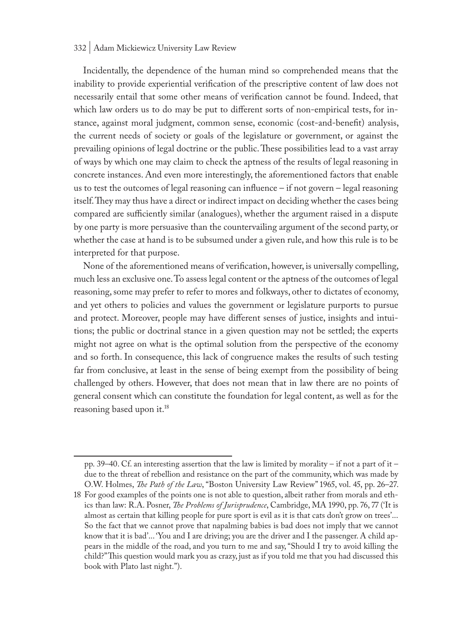#### 332 | Adam Mickiewicz University Law Review

Incidentally, the dependence of the human mind so comprehended means that the inability to provide experiential verification of the prescriptive content of law does not necessarily entail that some other means of verification cannot be found. Indeed, that which law orders us to do may be put to different sorts of non-empirical tests, for instance, against moral judgment, common sense, economic (cost-and-benefit) analysis, the current needs of society or goals of the legislature or government, or against the prevailing opinions of legal doctrine or the public. These possibilities lead to a vast array of ways by which one may claim to check the aptness of the results of legal reasoning in concrete instances. And even more interestingly, the aforementioned factors that enable us to test the outcomes of legal reasoning can influence – if not govern – legal reasoning itself. They may thus have a direct or indirect impact on deciding whether the cases being compared are sufficiently similar (analogues), whether the argument raised in a dispute by one party is more persuasive than the countervailing argument of the second party, or whether the case at hand is to be subsumed under a given rule, and how this rule is to be interpreted for that purpose.

None of the aforementioned means of verification, however, is universally compelling, much less an exclusive one. To assess legal content or the aptness of the outcomes of legal reasoning, some may prefer to refer to mores and folkways, other to dictates of economy, and yet others to policies and values the government or legislature purports to pursue and protect. Moreover, people may have different senses of justice, insights and intuitions; the public or doctrinal stance in a given question may not be settled; the experts might not agree on what is the optimal solution from the perspective of the economy and so forth. In consequence, this lack of congruence makes the results of such testing far from conclusive, at least in the sense of being exempt from the possibility of being challenged by others. However, that does not mean that in law there are no points of general consent which can constitute the foundation for legal content, as well as for the reasoning based upon it.18

pp. 39–40. Cf. an interesting assertion that the law is limited by morality – if not a part of it – due to the threat of rebellion and resistance on the part of the community, which was made by O.W. Holmes, *The Path of the Law*, "Boston University Law Review" 1965, vol. 45, pp. 26–27.

<sup>18</sup> For good examples of the points one is not able to question, albeit rather from morals and ethics than law: R.A. Posner, *The Problems of Jurisprudence*, Cambridge, MA 1990, pp. 76, 77 ('It is almost as certain that killing people for pure sport is evil as it is that cats don't grow on trees'... So the fact that we cannot prove that napalming babies is bad does not imply that we cannot know that it is bad'... 'You and I are driving; you are the driver and I the passenger. A child appears in the middle of the road, and you turn to me and say, "Should I try to avoid killing the child?" This question would mark you as crazy, just as if you told me that you had discussed this book with Plato last night.").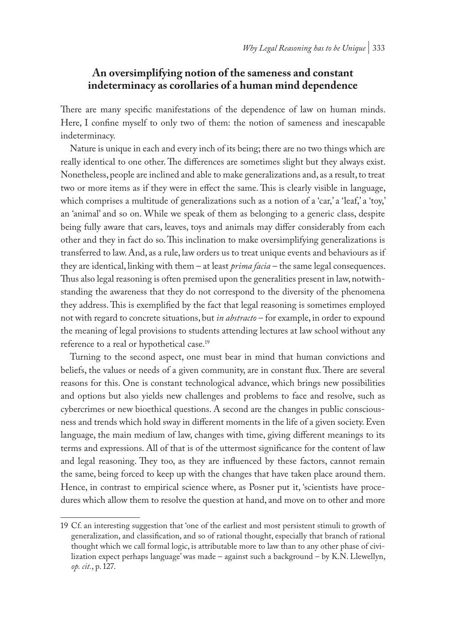### **An oversimplifying notion of the sameness and constant indeterminacy as corollaries of a human mind dependence**

There are many specific manifestations of the dependence of law on human minds. Here, I confine myself to only two of them: the notion of sameness and inescapable indeterminacy.

Nature is unique in each and every inch of its being; there are no two things which are really identical to one other. The differences are sometimes slight but they always exist. Nonetheless, people are inclined and able to make generalizations and, as a result, to treat two or more items as if they were in effect the same. This is clearly visible in language, which comprises a multitude of generalizations such as a notion of a 'car,' a 'leaf,' a 'toy,' an 'animal' and so on. While we speak of them as belonging to a generic class, despite being fully aware that cars, leaves, toys and animals may differ considerably from each other and they in fact do so. This inclination to make oversimplifying generalizations is transferred to law. And, as a rule, law orders us to treat unique events and behaviours as if they are identical, linking with them – at least *prima facia* – the same legal consequences. Thus also legal reasoning is often premised upon the generalities present in law, notwithstanding the awareness that they do not correspond to the diversity of the phenomena they address. This is exemplified by the fact that legal reasoning is sometimes employed not with regard to concrete situations, but *in abstracto* – for example, in order to expound the meaning of legal provisions to students attending lectures at law school without any reference to a real or hypothetical case.<sup>19</sup>

Turning to the second aspect, one must bear in mind that human convictions and beliefs, the values or needs of a given community, are in constant flux. There are several reasons for this. One is constant technological advance, which brings new possibilities and options but also yields new challenges and problems to face and resolve, such as cybercrimes or new bioethical questions. A second are the changes in public consciousness and trends which hold sway in different moments in the life of a given society. Even language, the main medium of law, changes with time, giving different meanings to its terms and expressions. All of that is of the uttermost significance for the content of law and legal reasoning. They too, as they are influenced by these factors, cannot remain the same, being forced to keep up with the changes that have taken place around them. Hence, in contrast to empirical science where, as Posner put it, 'scientists have procedures which allow them to resolve the question at hand, and move on to other and more

<sup>19</sup> Cf. an interesting suggestion that 'one of the earliest and most persistent stimuli to growth of generalization, and classification, and so of rational thought, especially that branch of rational thought which we call formal logic, is attributable more to law than to any other phase of civilization expect perhaps language' was made – against such a background – by K.N. Llewellyn, *op. cit.*, p. 127.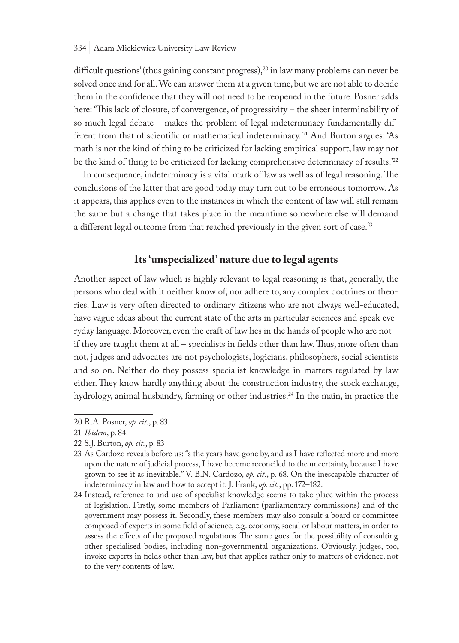difficult questions' (thus gaining constant progress), $20$  in law many problems can never be solved once and for all. We can answer them at a given time, but we are not able to decide them in the confidence that they will not need to be reopened in the future. Posner adds here: 'This lack of closure, of convergence, of progressivity – the sheer interminability of so much legal debate – makes the problem of legal indeterminacy fundamentally different from that of scientific or mathematical indeterminacy.'21 And Burton argues: 'As math is not the kind of thing to be criticized for lacking empirical support, law may not be the kind of thing to be criticized for lacking comprehensive determinacy of results.<sup>'22</sup>

In consequence, indeterminacy is a vital mark of law as well as of legal reasoning. The conclusions of the latter that are good today may turn out to be erroneous tomorrow. As it appears, this applies even to the instances in which the content of law will still remain the same but a change that takes place in the meantime somewhere else will demand a different legal outcome from that reached previously in the given sort of case.<sup>23</sup>

# **Its 'unspecialized' nature due to legal agents**

Another aspect of law which is highly relevant to legal reasoning is that, generally, the persons who deal with it neither know of, nor adhere to, any complex doctrines or theories. Law is very often directed to ordinary citizens who are not always well-educated, have vague ideas about the current state of the arts in particular sciences and speak everyday language. Moreover, even the craft of law lies in the hands of people who are not – if they are taught them at all – specialists in fields other than law. Thus, more often than not, judges and advocates are not psychologists, logicians, philosophers, social scientists and so on. Neither do they possess specialist knowledge in matters regulated by law either. They know hardly anything about the construction industry, the stock exchange, hydrology, animal husbandry, farming or other industries.<sup>24</sup> In the main, in practice the

<sup>20</sup> R.A. Posner, *op. cit.*, p. 83.

<sup>21</sup> *Ibidem*, p. 84.

<sup>22</sup> S.J. Burton, *op. cit.*, p. 83

<sup>23</sup> As Cardozo reveals before us: "s the years have gone by, and as I have reflected more and more upon the nature of judicial process, I have become reconciled to the uncertainty, because I have grown to see it as inevitable." V. B.N. Cardozo, *op. cit.*, p. 68. On the inescapable character of indeterminacy in law and how to accept it: J. Frank, *op. cit.*, pp. 172–182.

<sup>24</sup> Instead, reference to and use of specialist knowledge seems to take place within the process of legislation. Firstly, some members of Parliament (parliamentary commissions) and of the government may possess it. Secondly, these members may also consult a board or committee composed of experts in some field of science, e.g. economy, social or labour matters, in order to assess the effects of the proposed regulations. The same goes for the possibility of consulting other specialised bodies, including non-governmental organizations. Obviously, judges, too, invoke experts in fields other than law, but that applies rather only to matters of evidence, not to the very contents of law.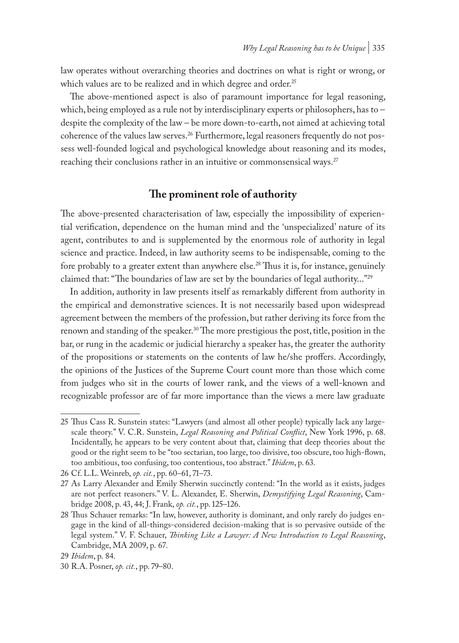law operates without overarching theories and doctrines on what is right or wrong, or which values are to be realized and in which degree and order.<sup>25</sup>

The above-mentioned aspect is also of paramount importance for legal reasoning, which, being employed as a rule not by interdisciplinary experts or philosophers, has to – despite the complexity of the law – be more down-to-earth, not aimed at achieving total coherence of the values law serves.26 Furthermore, legal reasoners frequently do not possess well-founded logical and psychological knowledge about reasoning and its modes, reaching their conclusions rather in an intuitive or commonsensical ways.<sup>27</sup>

### **The prominent role of authority**

The above-presented characterisation of law, especially the impossibility of experiential verification, dependence on the human mind and the 'unspecialized' nature of its agent, contributes to and is supplemented by the enormous role of authority in legal science and practice. Indeed, in law authority seems to be indispensable, coming to the fore probably to a greater extent than anywhere else.<sup>28</sup> Thus it is, for instance, genuinely claimed that: "The boundaries of law are set by the boundaries of legal authority..."29

In addition, authority in law presents itself as remarkably different from authority in the empirical and demonstrative sciences. It is not necessarily based upon widespread agreement between the members of the profession, but rather deriving its force from the renown and standing of the speaker.<sup>30</sup> The more prestigious the post, title, position in the bar, or rung in the academic or judicial hierarchy a speaker has, the greater the authority of the propositions or statements on the contents of law he/she proffers. Accordingly, the opinions of the Justices of the Supreme Court count more than those which come from judges who sit in the courts of lower rank, and the views of a well-known and recognizable professor are of far more importance than the views a mere law graduate

<sup>25</sup> Thus Cass R. Sunstein states: "Lawyers (and almost all other people) typically lack any largescale theory." V. C.R. Sunstein, *Legal Reasoning and Political Conflict*, New York 1996, p. 68. Incidentally, he appears to be very content about that, claiming that deep theories about the good or the right seem to be "too sectarian, too large, too divisive, too obscure, too high-flown, too ambitious, too confusing, too contentious, too abstract." *Ibidem*, p. 63.

<sup>26</sup> Cf. L.L. Weinreb, *op. cit.*, pp. 60–61, 71–73.

<sup>27</sup> As Larry Alexander and Emily Sherwin succinctly contend: "In the world as it exists, judges are not perfect reasoners." V. L. Alexander, E. Sherwin, *Demystifying Legal Reasoning*, Cambridge 2008, p. 43, 44; J. Frank, *op. cit.*, pp. 125–126.

<sup>28</sup> Thus Schauer remarks: "In law, however, authority is dominant, and only rarely do judges engage in the kind of all-things-considered decision-making that is so pervasive outside of the legal system." V. F. Schauer, *Thinking Like a Lawyer: A New Introduction to Legal Reasoning*, Cambridge, MA 2009, p. 67.

<sup>29</sup> *Ibidem*, p. 84.

<sup>30</sup> R.A. Posner, *op. cit.*, pp. 79–80.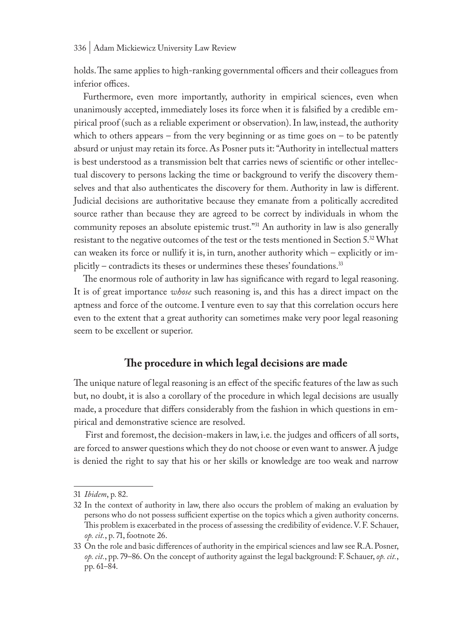holds. The same applies to high-ranking governmental officers and their colleagues from inferior offices.

Furthermore, even more importantly, authority in empirical sciences, even when unanimously accepted, immediately loses its force when it is falsified by a credible empirical proof (such as a reliable experiment or observation). In law, instead, the authority which to others appears – from the very beginning or as time goes on  $-$  to be patently absurd or unjust may retain its force. As Posner puts it: "Authority in intellectual matters is best understood as a transmission belt that carries news of scientific or other intellectual discovery to persons lacking the time or background to verify the discovery themselves and that also authenticates the discovery for them. Authority in law is different. Judicial decisions are authoritative because they emanate from a politically accredited source rather than because they are agreed to be correct by individuals in whom the community reposes an absolute epistemic trust."<sup>31</sup> An authority in law is also generally resistant to the negative outcomes of the test or the tests mentioned in Section 5.<sup>32</sup> What can weaken its force or nullify it is, in turn, another authority which – explicitly or implicitly – contradicts its theses or undermines these theses' foundations.33

The enormous role of authority in law has significance with regard to legal reasoning. It is of great importance *whose* such reasoning is, and this has a direct impact on the aptness and force of the outcome. I venture even to say that this correlation occurs here even to the extent that a great authority can sometimes make very poor legal reasoning seem to be excellent or superior.

### **The procedure in which legal decisions are made**

The unique nature of legal reasoning is an effect of the specific features of the law as such but, no doubt, it is also a corollary of the procedure in which legal decisions are usually made, a procedure that differs considerably from the fashion in which questions in empirical and demonstrative science are resolved.

 First and foremost, the decision-makers in law, i.e. the judges and officers of all sorts, are forced to answer questions which they do not choose or even want to answer. A judge is denied the right to say that his or her skills or knowledge are too weak and narrow

<sup>31</sup> *Ibidem*, p. 82.

<sup>32</sup> In the context of authority in law, there also occurs the problem of making an evaluation by persons who do not possess sufficient expertise on the topics which a given authority concerns. This problem is exacerbated in the process of assessing the credibility of evidence. V. F. Schauer, *op. cit.*, p. 71, footnote 26.

<sup>33</sup> On the role and basic differences of authority in the empirical sciences and law see R.A. Posner, *op. cit.*, pp. 79–86. On the concept of authority against the legal background: F. Schauer, *op. cit.*, pp. 61–84.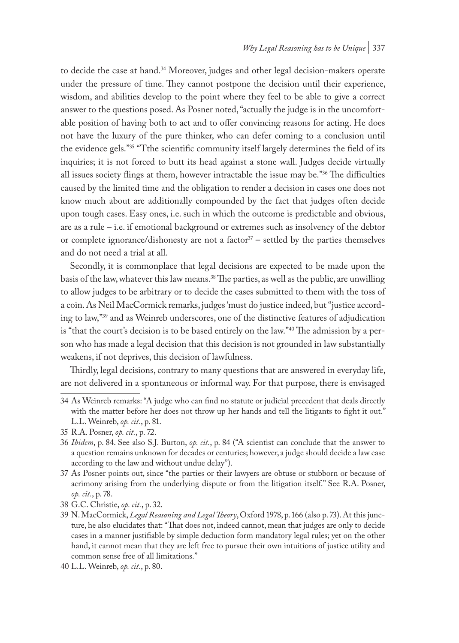to decide the case at hand.<sup>34</sup> Moreover, judges and other legal decision-makers operate under the pressure of time. They cannot postpone the decision until their experience, wisdom, and abilities develop to the point where they feel to be able to give a correct answer to the questions posed. As Posner noted, "actually the judge is in the uncomfortable position of having both to act and to offer convincing reasons for acting. He does not have the luxury of the pure thinker, who can defer coming to a conclusion until the evidence gels."35 "Tthe scientific community itself largely determines the field of its inquiries; it is not forced to butt its head against a stone wall. Judges decide virtually all issues society flings at them, however intractable the issue may be."<sup>36</sup> The difficulties caused by the limited time and the obligation to render a decision in cases one does not know much about are additionally compounded by the fact that judges often decide upon tough cases. Easy ones, i.e. such in which the outcome is predictable and obvious, are as a rule – i.e. if emotional background or extremes such as insolvency of the debtor or complete ignorance/dishonesty are not a factor $37$  – settled by the parties themselves and do not need a trial at all.

Secondly, it is commonplace that legal decisions are expected to be made upon the basis of the law, whatever this law means.38 The parties, as well as the public, are unwilling to allow judges to be arbitrary or to decide the cases submitted to them with the toss of a coin. As Neil MacCormick remarks, judges 'must do justice indeed, but "justice according to law,"39 and as Weinreb underscores, one of the distinctive features of adjudication is "that the court's decision is to be based entirely on the law."40 The admission by a person who has made a legal decision that this decision is not grounded in law substantially weakens, if not deprives, this decision of lawfulness.

Thirdly, legal decisions, contrary to many questions that are answered in everyday life, are not delivered in a spontaneous or informal way. For that purpose, there is envisaged

<sup>34</sup> As Weinreb remarks: "A judge who can find no statute or judicial precedent that deals directly with the matter before her does not throw up her hands and tell the litigants to fight it out." L.L. Weinreb, *op. cit.*, p. 81.

<sup>35</sup> R.A. Posner, *op. cit.*, p. 72.

<sup>36</sup> *Ibidem*, p. 84. See also S.J. Burton, *op. cit.*, p. 84 ("A scientist can conclude that the answer to a question remains unknown for decades or centuries; however, a judge should decide a law case according to the law and without undue delay").

<sup>37</sup> As Posner points out, since "the parties or their lawyers are obtuse or stubborn or because of acrimony arising from the underlying dispute or from the litigation itself." See R.A. Posner, *op. cit.*, p. 78.

<sup>38</sup> G.C. Christie, *op. cit.*, p. 32.

<sup>39</sup> N. MacCormick, *Legal Reasoning and Legal Theory*, Oxford 1978, p. 166 (also p. 73). At this juncture, he also elucidates that: "That does not, indeed cannot, mean that judges are only to decide cases in a manner justifiable by simple deduction form mandatory legal rules; yet on the other hand, it cannot mean that they are left free to pursue their own intuitions of justice utility and common sense free of all limitations."

<sup>40</sup> L.L. Weinreb, *op. cit.*, p. 80.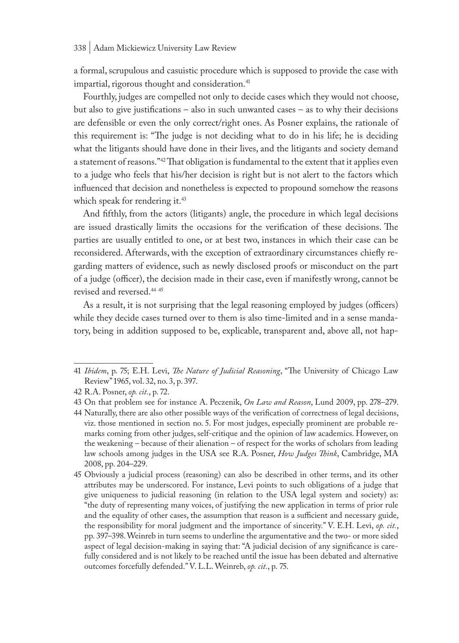a formal, scrupulous and casuistic procedure which is supposed to provide the case with impartial, rigorous thought and consideration.<sup>41</sup>

Fourthly, judges are compelled not only to decide cases which they would not choose, but also to give justifications – also in such unwanted cases – as to why their decisions are defensible or even the only correct/right ones. As Posner explains, the rationale of this requirement is: "The judge is not deciding what to do in his life; he is deciding what the litigants should have done in their lives, and the litigants and society demand a statement of reasons."42 That obligation is fundamental to the extent that it applies even to a judge who feels that his/her decision is right but is not alert to the factors which influenced that decision and nonetheless is expected to propound somehow the reasons which speak for rendering it.<sup>43</sup>

And fifthly, from the actors (litigants) angle, the procedure in which legal decisions are issued drastically limits the occasions for the verification of these decisions. The parties are usually entitled to one, or at best two, instances in which their case can be reconsidered. Afterwards, with the exception of extraordinary circumstances chiefly regarding matters of evidence, such as newly disclosed proofs or misconduct on the part of a judge (officer), the decision made in their case, even if manifestly wrong, cannot be revised and reversed.<sup>44 45</sup>

As a result, it is not surprising that the legal reasoning employed by judges (officers) while they decide cases turned over to them is also time-limited and in a sense mandatory, being in addition supposed to be, explicable, transparent and, above all, not hap-

<sup>41</sup> *Ibidem*, p. 75; E.H. Levi, *The Nature of Judicial Reasoning*, "The University of Chicago Law Review" 1965, vol. 32, no. 3, p. 397.

<sup>42</sup> R.A. Posner, *op. cit.*, p. 72.

<sup>43</sup> On that problem see for instance A. Peczenik, *On Law and Reason*, Lund 2009, pp. 278–279.

<sup>44</sup> Naturally, there are also other possible ways of the verification of correctness of legal decisions, viz. those mentioned in section no. 5. For most judges, especially prominent are probable remarks coming from other judges, self-critique and the opinion of law academics. However, on the weakening – because of their alienation – of respect for the works of scholars from leading law schools among judges in the USA see R.A. Posner, *How Judges Think*, Cambridge, MA 2008, pp. 204–229.

<sup>45</sup> Obviously a judicial process (reasoning) can also be described in other terms, and its other attributes may be underscored. For instance, Levi points to such obligations of a judge that give uniqueness to judicial reasoning (in relation to the USA legal system and society) as: "the duty of representing many voices, of justifying the new application in terms of prior rule and the equality of other cases, the assumption that reason is a sufficient and necessary guide, the responsibility for moral judgment and the importance of sincerity." V. E.H. Levi, *op. cit.*, pp. 397–398. Weinreb in turn seems to underline the argumentative and the two- or more sided aspect of legal decision-making in saying that: "A judicial decision of any significance is carefully considered and is not likely to be reached until the issue has been debated and alternative outcomes forcefully defended." V. L.L. Weinreb, *op. cit.*, p. 75.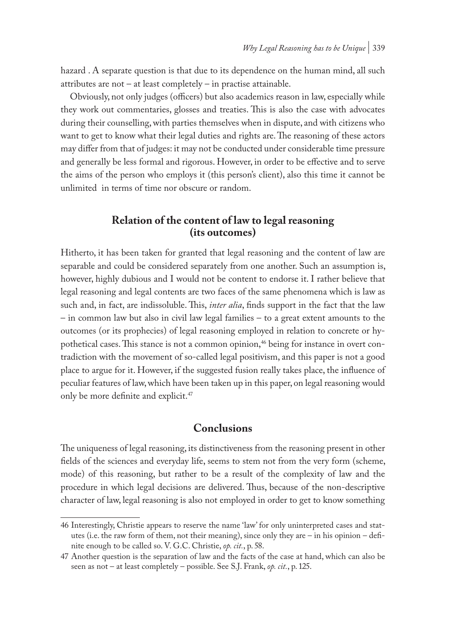hazard . A separate question is that due to its dependence on the human mind, all such attributes are not – at least completely – in practise attainable.

Obviously, not only judges (officers) but also academics reason in law, especially while they work out commentaries, glosses and treaties. This is also the case with advocates during their counselling, with parties themselves when in dispute, and with citizens who want to get to know what their legal duties and rights are. The reasoning of these actors may differ from that of judges: it may not be conducted under considerable time pressure and generally be less formal and rigorous. However, in order to be effective and to serve the aims of the person who employs it (this person's client), also this time it cannot be unlimited in terms of time nor obscure or random.

### **Relation of the content of law to legal reasoning (its outcomes)**

Hitherto, it has been taken for granted that legal reasoning and the content of law are separable and could be considered separately from one another. Such an assumption is, however, highly dubious and I would not be content to endorse it. I rather believe that legal reasoning and legal contents are two faces of the same phenomena which is law as such and, in fact, are indissoluble. This, *inter alia*, finds support in the fact that the law – in common law but also in civil law legal families – to a great extent amounts to the outcomes (or its prophecies) of legal reasoning employed in relation to concrete or hypothetical cases. This stance is not a common opinion,<sup>46</sup> being for instance in overt contradiction with the movement of so-called legal positivism, and this paper is not a good place to argue for it. However, if the suggested fusion really takes place, the influence of peculiar features of law, which have been taken up in this paper, on legal reasoning would only be more definite and explicit.<sup>47</sup>

## **Conclusions**

The uniqueness of legal reasoning, its distinctiveness from the reasoning present in other fields of the sciences and everyday life, seems to stem not from the very form (scheme, mode) of this reasoning, but rather to be a result of the complexity of law and the procedure in which legal decisions are delivered. Thus, because of the non-descriptive character of law, legal reasoning is also not employed in order to get to know something

<sup>46</sup> Interestingly, Christie appears to reserve the name 'law' for only uninterpreted cases and statutes (i.e. the raw form of them, not their meaning), since only they are – in his opinion – definite enough to be called so. V. G.C. Christie, *op. cit.*, p. 58.

<sup>47</sup> Another question is the separation of law and the facts of the case at hand, which can also be seen as not – at least completely – possible. See S.J. Frank, *op. cit.*, p. 125.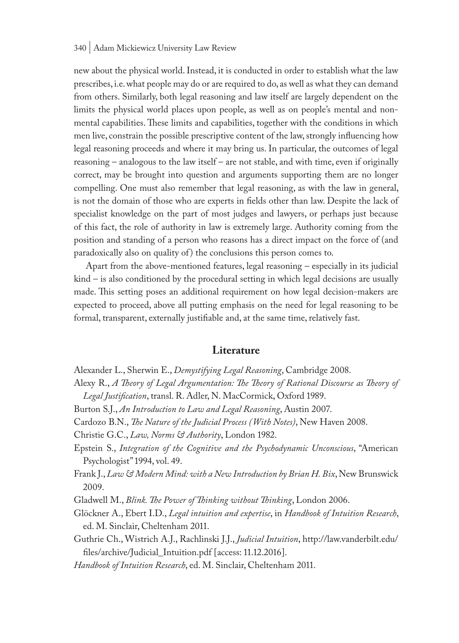new about the physical world. Instead, it is conducted in order to establish what the law prescribes, i.e. what people may do or are required to do, as well as what they can demand from others. Similarly, both legal reasoning and law itself are largely dependent on the limits the physical world places upon people, as well as on people's mental and nonmental capabilities. These limits and capabilities, together with the conditions in which men live, constrain the possible prescriptive content of the law, strongly influencing how legal reasoning proceeds and where it may bring us. In particular, the outcomes of legal reasoning – analogous to the law itself – are not stable, and with time, even if originally correct, may be brought into question and arguments supporting them are no longer compelling. One must also remember that legal reasoning, as with the law in general, is not the domain of those who are experts in fields other than law. Despite the lack of specialist knowledge on the part of most judges and lawyers, or perhaps just because of this fact, the role of authority in law is extremely large. Authority coming from the position and standing of a person who reasons has a direct impact on the force of (and paradoxically also on quality of ) the conclusions this person comes to.

 Apart from the above-mentioned features, legal reasoning – especially in its judicial kind – is also conditioned by the procedural setting in which legal decisions are usually made. This setting poses an additional requirement on how legal decision-makers are expected to proceed, above all putting emphasis on the need for legal reasoning to be formal, transparent, externally justifiable and, at the same time, relatively fast.

### **Literature**

- Alexander L., Sherwin E., *Demystifying Legal Reasoning*, Cambridge 2008.
- Alexy R., *A Theory of Legal Argumentation: The Theory of Rational Discourse as Theory of Legal Justification*, transl. R. Adler, N. MacCormick, Oxford 1989.
- Burton S.J., *An Introduction to Law and Legal Reasoning*, Austin 2007.
- Cardozo B.N., *The Nature of the Judicial Process (With Notes)*, New Haven 2008.

Christie G.C., *Law, Norms & Authority*, London 1982.

- Epstein S., *Integration of the Cognitive and the Psychodynamic Unconscious*, "American Psychologist" 1994, vol. 49.
- Frank J., *Law & Modern Mind: with a New Introduction by Brian H. Bix*, New Brunswick 2009.
- Gladwell M., *Blink. The Power of Thinking without Thinking*, London 2006.

Glöckner A., Ebert I.D., *Legal intuition and expertise*, in *Handbook of Intuition Research*, ed. M. Sinclair, Cheltenham 2011.

Guthrie Ch., Wistrich A.J., Rachlinski J.J., *Judicial Intuition*, http://law.vanderbilt.edu/ files/archive/Judicial\_Intuition.pdf [access: 11.12.2016].

*Handbook of Intuition Research*, ed. M. Sinclair, Cheltenham 2011.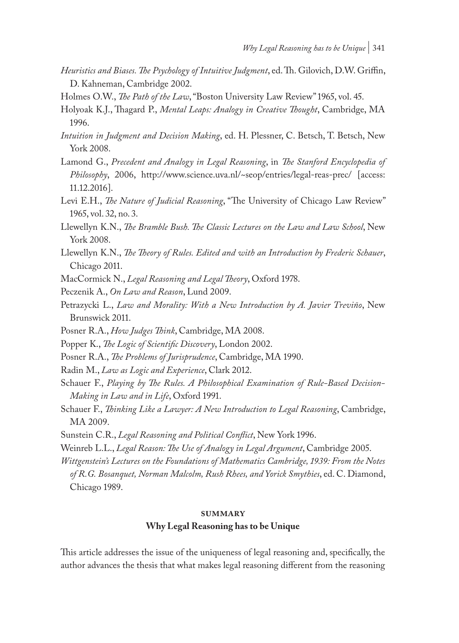- *Heuristics and Biases. The Psychology of Intuitive Judgment*, ed. Th. Gilovich, D.W. Griffin, D. Kahneman, Cambridge 2002.
- Holmes O.W., *The Path of the Law*, "Boston University Law Review" 1965, vol. 45.
- Holyoak K.J., Thagard P., *Mental Leaps: Analogy in Creative Thought*, Cambridge, MA 1996.
- *Intuition in Judgment and Decision Making*, ed. H. Plessner, C. Betsch, T. Betsch, New York 2008.
- Lamond G., *Precedent and Analogy in Legal Reasoning*, in *The Stanford Encyclopedia of Philosophy*, 2006, http://www.science.uva.nl/~seop/entries/legal-reas-prec/ [access: 11.12.2016].
- Levi E.H., *The Nature of Judicial Reasoning*, "The University of Chicago Law Review" 1965, vol. 32, no. 3.
- Llewellyn K.N., *The Bramble Bush. The Classic Lectures on the Law and Law School*, New York 2008.
- Llewellyn K.N., *The Theory of Rules. Edited and with an Introduction by Frederic Schauer*, Chicago 2011.
- MacCormick N., *Legal Reasoning and Legal Theory*, Oxford 1978.
- Peczenik A., *On Law and Reason*, Lund 2009.
- Petrazycki L., *Law and Morality: With a New Introduction by A. Javier Treviño*, New Brunswick 2011.
- Posner R.A., *How Judges Think*, Cambridge, MA 2008.
- Popper K., *The Logic of Scientific Discovery*, London 2002.
- Posner R.A., *The Problems of Jurisprudence*, Cambridge, MA 1990.
- Radin M., *Law as Logic and Experience*, Clark 2012.
- Schauer F., *Playing by The Rules. A Philosophical Examination of Rule-Based Decision-Making in Law and in Life*, Oxford 1991.
- Schauer F., *Thinking Like a Lawyer: A New Introduction to Legal Reasoning*, Cambridge, MA 2009.
- Sunstein C.R., *Legal Reasoning and Political Conflict*, New York 1996.
- Weinreb L.L., *Legal Reason: The Use of Analogy in Legal Argument*, Cambridge 2005.
- *Wittgenstein's Lectures on the Foundations of Mathematics Cambridge, 1939: From the Notes of R.G. Bosanquet, Norman Malcolm, Rush Rhees, and Yorick Smythies*, ed. C. Diamond, Chicago 1989.

#### **summary**

#### **Why Legal Reasoning has to be Unique**

This article addresses the issue of the uniqueness of legal reasoning and, specifically, the author advances the thesis that what makes legal reasoning different from the reasoning